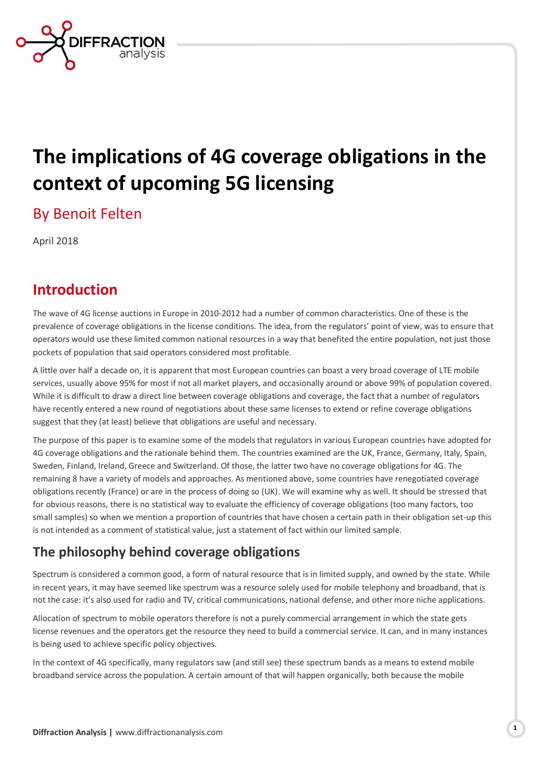

# **The implications of 4G coverage obligations in the context of upcoming 5G licensing**

By Benoit Felten

April 2018

## **Introduction**

The wave of 4G license auctions in Europe in 2010-2012 had a number of common characteristics. One of these is the prevalence of coverage obligations in the license conditions. The idea, from the regulators' point of view, was to ensure that operators would use these limited common national resources in a way that benefited the entire population, not just those pockets of population that said operators considered most profitable.

A little over half a decade on, it is apparent that most European countries can boast a very broad coverage of LTE mobile services, usually above 95% for most if not all market players, and occasionally around or above 99% of population covered. While it is difficult to draw a direct line between coverage obligations and coverage, the fact that a number of regulators have recently entered a new round of negotiations about these same licenses to extend or refine coverage obligations suggest that they (at least) believe that obligations are useful and necessary.

The purpose of this paper is to examine some of the models that regulators in various European countries have adopted for 4G coverage obligations and the rationale behind them. The countries examined are the UK, France, Germany, Italy, Spain, Sweden, Finland, Ireland, Greece and Switzerland. Of those, the latter two have no coverage obligations for 4G. The remaining 8 have a variety of models and approaches. As mentioned above, some countries have renegotiated coverage obligations recently (France) or are in the process of doing so (UK). We will examine why as well. It should be stressed that for obvious reasons, there is no statistical way to evaluate the efficiency of coverage obligations (too many factors, too small samples) so when we mention a proportion of countries that have chosen a certain path in their obligation set-up this is not intended as a comment of statistical value, just a statement of fact within our limited sample.

### **The philosophy behind coverage obligations**

Spectrum is considered a common good, a form of natural resource that is in limited supply, and owned by the state. While in recent years, it may have seemed like spectrum was a resource solely used for mobile telephony and broadband, that is not the case: it's also used for radio and TV, critical communications, national defense, and other more niche applications.

Allocation of spectrum to mobile operators therefore is not a purely commercial arrangement in which the state gets license revenues and the operators get the resource they need to build a commercial service. It can, and in many instances is being used to achieve specific policy objectives.

In the context of 4G specifically, many regulators saw (and still see) these spectrum bands as a means to extend mobile broadband service across the population. A certain amount of that will happen organically, both because the mobile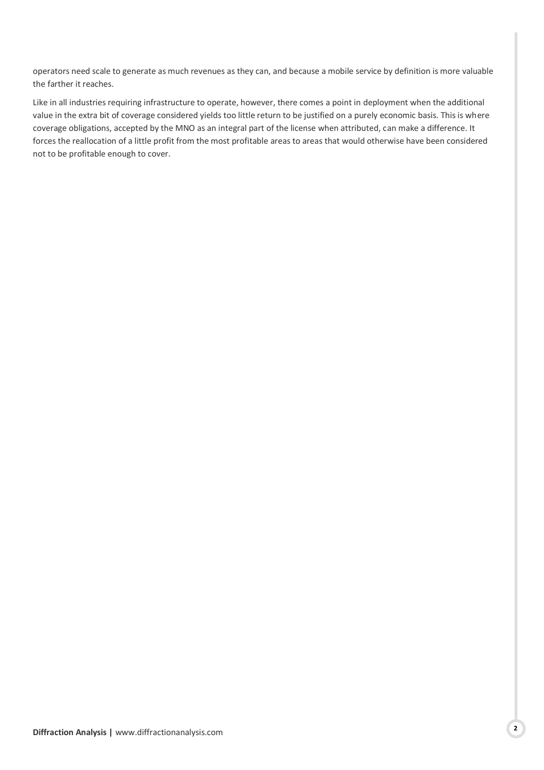operators need scale to generate as much revenues as they can, and because a mobile service by definition is more valuable the farther it reaches.

Like in all industries requiring infrastructure to operate, however, there comes a point in deployment when the additional value in the extra bit of coverage considered yields too little return to be justified on a purely economic basis. This is where coverage obligations, accepted by the MNO as an integral part of the license when attributed, can make a difference. It forces the reallocation of a little profit from the most profitable areas to areas that would otherwise have been considered not to be profitable enough to cover.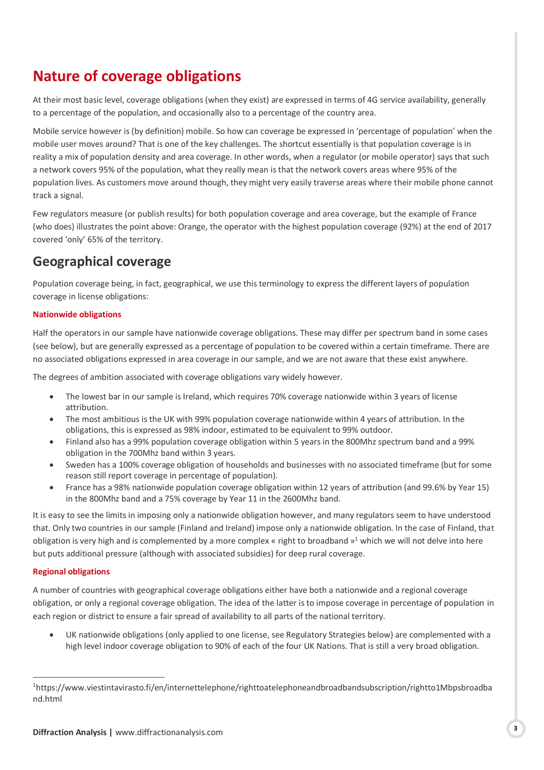# **Nature of coverage obligations**

At their most basic level, coverage obligations (when they exist) are expressed in terms of 4G service availability, generally to a percentage of the population, and occasionally also to a percentage of the country area.

Mobile service however is (by definition) mobile. So how can coverage be expressed in 'percentage of population' when the mobile user moves around? That is one of the key challenges. The shortcut essentially is that population coverage is in reality a mix of population density and area coverage. In other words, when a regulator (or mobile operator) says that such a network covers 95% of the population, what they really mean is that the network covers areas where 95% of the population lives. As customers move around though, they might very easily traverse areas where their mobile phone cannot track a signal.

Few regulators measure (or publish results) for both population coverage and area coverage, but the example of France (who does) illustrates the point above: Orange, the operator with the highest population coverage (92%) at the end of 2017 covered 'only' 65% of the territory.

### **Geographical coverage**

Population coverage being, in fact, geographical, we use this terminology to express the different layers of population coverage in license obligations:

#### **Nationwide obligations**

Half the operators in our sample have nationwide coverage obligations. These may differ per spectrum band in some cases (see below), but are generally expressed as a percentage of population to be covered within a certain timeframe. There are no associated obligations expressed in area coverage in our sample, and we are not aware that these exist anywhere.

The degrees of ambition associated with coverage obligations vary widely however.

- The lowest bar in our sample is Ireland, which requires 70% coverage nationwide within 3 years of license attribution.
- The most ambitious is the UK with 99% population coverage nationwide within 4 years of attribution. In the obligations, this is expressed as 98% indoor, estimated to be equivalent to 99% outdoor.
- Finland also has a 99% population coverage obligation within 5 years in the 800Mhz spectrum band and a 99% obligation in the 700Mhz band within 3 years.
- Sweden has a 100% coverage obligation of households and businesses with no associated timeframe (but for some reason still report coverage in percentage of population).
- France has a 98% nationwide population coverage obligation within 12 years of attribution (and 99.6% by Year 15) in the 800Mhz band and a 75% coverage by Year 11 in the 2600Mhz band.

It is easy to see the limits in imposing only a nationwide obligation however, and many regulators seem to have understood that. Only two countries in our sample (Finland and Ireland) impose only a nationwide obligation. In the case of Finland, that obligation is very high and is complemented by a more complex « right to broadband »<sup>1</sup> which we will not delve into here but puts additional pressure (although with associated subsidies) for deep rural coverage.

#### **Regional obligations**

-

A number of countries with geographical coverage obligations either have both a nationwide and a regional coverage obligation, or only a regional coverage obligation. The idea of the latter is to impose coverage in percentage of population in each region or district to ensure a fair spread of availability to all parts of the national territory.

 UK nationwide obligations (only applied to one license, see Regulatory Strategies below) are complemented with a high level indoor coverage obligation to 90% of each of the four UK Nations. That is still a very broad obligation.

<sup>1</sup>https://www.viestintavirasto.fi/en/internettelephone/righttoatelephoneandbroadbandsubscription/rightto1Mbpsbroadba nd.html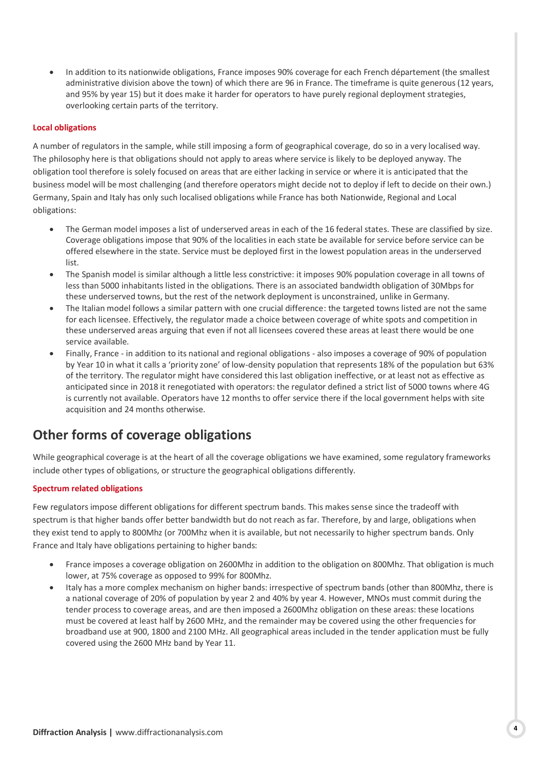In addition to its nationwide obligations, France imposes 90% coverage for each French département (the smallest administrative division above the town) of which there are 96 in France. The timeframe is quite generous (12 years, and 95% by year 15) but it does make it harder for operators to have purely regional deployment strategies, overlooking certain parts of the territory.

#### **Local obligations**

A number of regulators in the sample, while still imposing a form of geographical coverage, do so in a very localised way. The philosophy here is that obligations should not apply to areas where service is likely to be deployed anyway. The obligation tool therefore is solely focused on areas that are either lacking in service or where it is anticipated that the business model will be most challenging (and therefore operators might decide not to deploy if left to decide on their own.) Germany, Spain and Italy has only such localised obligations while France has both Nationwide, Regional and Local obligations:

- The German model imposes a list of underserved areas in each of the 16 federal states. These are classified by size. Coverage obligations impose that 90% of the localities in each state be available for service before service can be offered elsewhere in the state. Service must be deployed first in the lowest population areas in the underserved list.
- The Spanish model is similar although a little less constrictive: it imposes 90% population coverage in all towns of less than 5000 inhabitants listed in the obligations. There is an associated bandwidth obligation of 30Mbps for these underserved towns, but the rest of the network deployment is unconstrained, unlike in Germany.
- The Italian model follows a similar pattern with one crucial difference: the targeted towns listed are not the same for each licensee. Effectively, the regulator made a choice between coverage of white spots and competition in these underserved areas arguing that even if not all licensees covered these areas at least there would be one service available.
- Finally, France in addition to its national and regional obligations also imposes a coverage of 90% of population by Year 10 in what it calls a 'priority zone' of low-density population that represents 18% of the population but 63% of the territory. The regulator might have considered this last obligation ineffective, or at least not as effective as anticipated since in 2018 it renegotiated with operators: the regulator defined a strict list of 5000 towns where 4G is currently not available. Operators have 12 months to offer service there if the local government helps with site acquisition and 24 months otherwise.

### **Other forms of coverage obligations**

While geographical coverage is at the heart of all the coverage obligations we have examined, some regulatory frameworks include other types of obligations, or structure the geographical obligations differently.

#### **Spectrum related obligations**

Few regulators impose different obligations for different spectrum bands. This makes sense since the tradeoff with spectrum is that higher bands offer better bandwidth but do not reach as far. Therefore, by and large, obligations when they exist tend to apply to 800Mhz (or 700Mhz when it is available, but not necessarily to higher spectrum bands. Only France and Italy have obligations pertaining to higher bands:

- France imposes a coverage obligation on 2600Mhz in addition to the obligation on 800Mhz. That obligation is much lower, at 75% coverage as opposed to 99% for 800Mhz.
- Italy has a more complex mechanism on higher bands: irrespective of spectrum bands (other than 800Mhz, there is a national coverage of 20% of population by year 2 and 40% by year 4. However, MNOs must commit during the tender process to coverage areas, and are then imposed a 2600Mhz obligation on these areas: these locations must be covered at least half by 2600 MHz, and the remainder may be covered using the other frequencies for broadband use at 900, 1800 and 2100 MHz. All geographical areas included in the tender application must be fully covered using the 2600 MHz band by Year 11.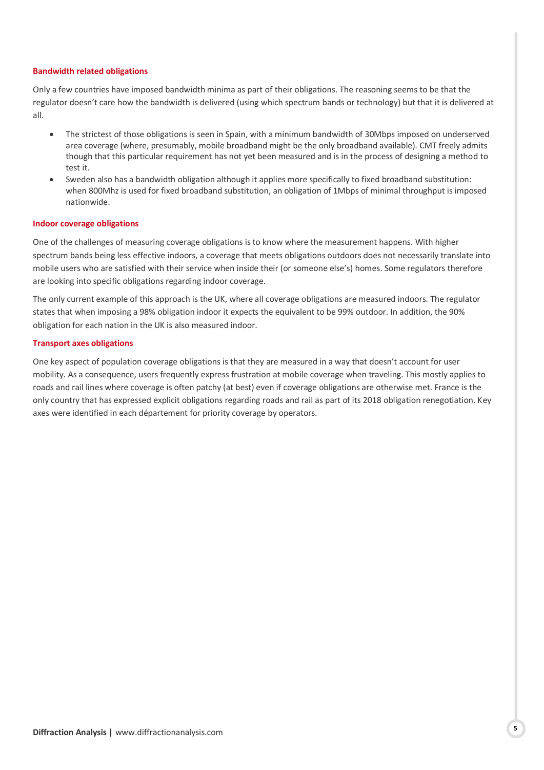#### **Bandwidth related obligations**

Only a few countries have imposed bandwidth minima as part of their obligations. The reasoning seems to be that the regulator doesn't care how the bandwidth is delivered (using which spectrum bands or technology) but that it is delivered at all.

- The strictest of those obligations is seen in Spain, with a minimum bandwidth of 30Mbps imposed on underserved area coverage (where, presumably, mobile broadband might be the only broadband available). CMT freely admits though that this particular requirement has not yet been measured and is in the process of designing a method to test it.
- Sweden also has a bandwidth obligation although it applies more specifically to fixed broadband substitution: when 800Mhz is used for fixed broadband substitution, an obligation of 1Mbps of minimal throughput is imposed nationwide.

#### **Indoor coverage obligations**

One of the challenges of measuring coverage obligations is to know where the measurement happens. With higher spectrum bands being less effective indoors, a coverage that meets obligations outdoors does not necessarily translate into mobile users who are satisfied with their service when inside their (or someone else's) homes. Some regulators therefore are looking into specific obligations regarding indoor coverage.

The only current example of this approach is the UK, where all coverage obligations are measured indoors. The regulator states that when imposing a 98% obligation indoor it expects the equivalent to be 99% outdoor. In addition, the 90% obligation for each nation in the UK is also measured indoor.

#### **Transport axes obligations**

One key aspect of population coverage obligations is that they are measured in a way that doesn't account for user mobility. As a consequence, users frequently express frustration at mobile coverage when traveling. This mostly applies to roads and rail lines where coverage is often patchy (at best) even if coverage obligations are otherwise met. France is the only country that has expressed explicit obligations regarding roads and rail as part of its 2018 obligation renegotiation. Key axes were identified in each département for priority coverage by operators.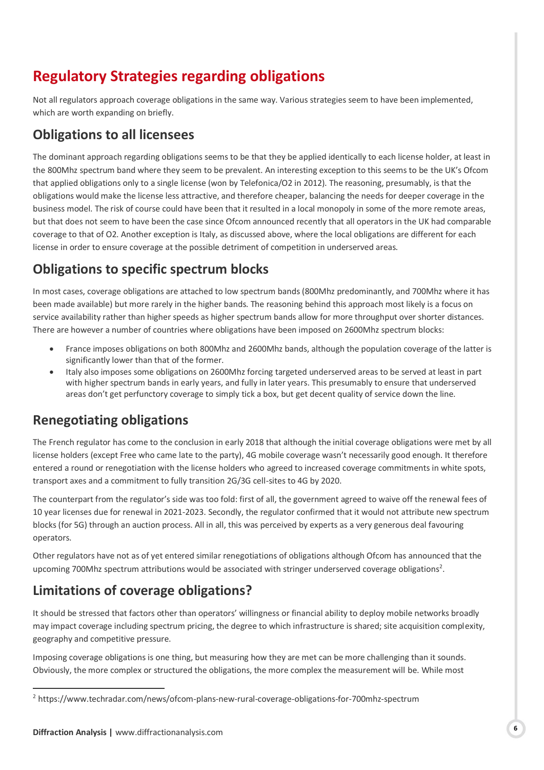# **Regulatory Strategies regarding obligations**

Not all regulators approach coverage obligations in the same way. Various strategies seem to have been implemented, which are worth expanding on briefly.

### **Obligations to all licensees**

The dominant approach regarding obligations seems to be that they be applied identically to each license holder, at least in the 800Mhz spectrum band where they seem to be prevalent. An interesting exception to this seems to be the UK's Ofcom that applied obligations only to a single license (won by Telefonica/O2 in 2012). The reasoning, presumably, is that the obligations would make the license less attractive, and therefore cheaper, balancing the needs for deeper coverage in the business model. The risk of course could have been that it resulted in a local monopoly in some of the more remote areas, but that does not seem to have been the case since Ofcom announced recently that all operators in the UK had comparable coverage to that of O2. Another exception is Italy, as discussed above, where the local obligations are different for each license in order to ensure coverage at the possible detriment of competition in underserved areas.

### **Obligations to specific spectrum blocks**

In most cases, coverage obligations are attached to low spectrum bands (800Mhz predominantly, and 700Mhz where it has been made available) but more rarely in the higher bands. The reasoning behind this approach most likely is a focus on service availability rather than higher speeds as higher spectrum bands allow for more throughput over shorter distances. There are however a number of countries where obligations have been imposed on 2600Mhz spectrum blocks:

- France imposes obligations on both 800Mhz and 2600Mhz bands, although the population coverage of the latter is significantly lower than that of the former.
- Italy also imposes some obligations on 2600Mhz forcing targeted underserved areas to be served at least in part with higher spectrum bands in early years, and fully in later years. This presumably to ensure that underserved areas don't get perfunctory coverage to simply tick a box, but get decent quality of service down the line.

### **Renegotiating obligations**

The French regulator has come to the conclusion in early 2018 that although the initial coverage obligations were met by all license holders (except Free who came late to the party), 4G mobile coverage wasn't necessarily good enough. It therefore entered a round or renegotiation with the license holders who agreed to increased coverage commitments in white spots, transport axes and a commitment to fully transition 2G/3G cell-sites to 4G by 2020.

The counterpart from the regulator's side was too fold: first of all, the government agreed to waive off the renewal fees of 10 year licenses due for renewal in 2021-2023. Secondly, the regulator confirmed that it would not attribute new spectrum blocks (for 5G) through an auction process. All in all, this was perceived by experts as a very generous deal favouring operators.

Other regulators have not as of yet entered similar renegotiations of obligations although Ofcom has announced that the upcoming 700Mhz spectrum attributions would be associated with stringer underserved coverage obligations<sup>2</sup>.

### **Limitations of coverage obligations?**

It should be stressed that factors other than operators' willingness or financial ability to deploy mobile networks broadly may impact coverage including spectrum pricing, the degree to which infrastructure is shared; site acquisition complexity, geography and competitive pressure.

Imposing coverage obligations is one thing, but measuring how they are met can be more challenging than it sounds. Obviously, the more complex or structured the obligations, the more complex the measurement will be. While most

<sup>-</sup><sup>2</sup> https://www.techradar.com/news/ofcom-plans-new-rural-coverage-obligations-for-700mhz-spectrum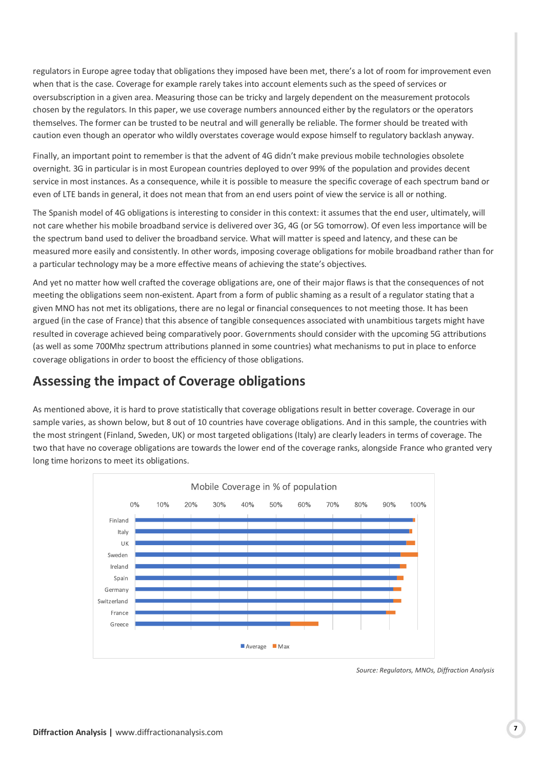regulators in Europe agree today that obligations they imposed have been met, there's a lot of room for improvement even when that is the case. Coverage for example rarely takes into account elements such as the speed of services or oversubscription in a given area. Measuring those can be tricky and largely dependent on the measurement protocols chosen by the regulators. In this paper, we use coverage numbers announced either by the regulators or the operators themselves. The former can be trusted to be neutral and will generally be reliable. The former should be treated with caution even though an operator who wildly overstates coverage would expose himself to regulatory backlash anyway.

Finally, an important point to remember is that the advent of 4G didn't make previous mobile technologies obsolete overnight. 3G in particular is in most European countries deployed to over 99% of the population and provides decent service in most instances. As a consequence, while it is possible to measure the specific coverage of each spectrum band or even of LTE bands in general, it does not mean that from an end users point of view the service is all or nothing.

The Spanish model of 4G obligations is interesting to consider in this context: it assumes that the end user, ultimately, will not care whether his mobile broadband service is delivered over 3G, 4G (or 5G tomorrow). Of even less importance will be the spectrum band used to deliver the broadband service. What will matter is speed and latency, and these can be measured more easily and consistently. In other words, imposing coverage obligations for mobile broadband rather than for a particular technology may be a more effective means of achieving the state's objectives.

And yet no matter how well crafted the coverage obligations are, one of their major flaws is that the consequences of not meeting the obligations seem non-existent. Apart from a form of public shaming as a result of a regulator stating that a given MNO has not met its obligations, there are no legal or financial consequences to not meeting those. It has been argued (in the case of France) that this absence of tangible consequences associated with unambitious targets might have resulted in coverage achieved being comparatively poor. Governments should consider with the upcoming 5G attributions (as well as some 700Mhz spectrum attributions planned in some countries) what mechanisms to put in place to enforce coverage obligations in order to boost the efficiency of those obligations.

### **Assessing the impact of Coverage obligations**

As mentioned above, it is hard to prove statistically that coverage obligations result in better coverage. Coverage in our sample varies, as shown below, but 8 out of 10 countries have coverage obligations. And in this sample, the countries with the most stringent (Finland, Sweden, UK) or most targeted obligations (Italy) are clearly leaders in terms of coverage. The two that have no coverage obligations are towards the lower end of the coverage ranks, alongside France who granted very long time horizons to meet its obligations.



*Source: Regulators, MNOs, Diffraction Analysis*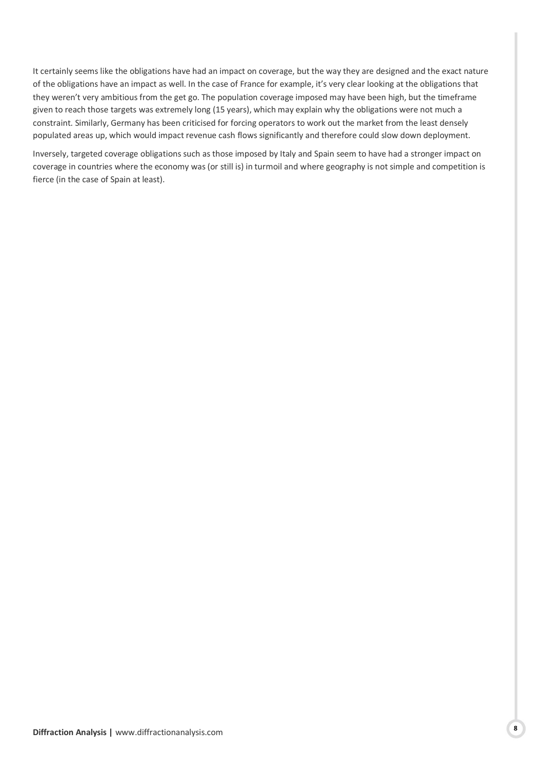It certainly seems like the obligations have had an impact on coverage, but the way they are designed and the exact nature of the obligations have an impact as well. In the case of France for example, it's very clear looking at the obligations that they weren't very ambitious from the get go. The population coverage imposed may have been high, but the timeframe given to reach those targets was extremely long (15 years), which may explain why the obligations were not much a constraint. Similarly, Germany has been criticised for forcing operators to work out the market from the least densely populated areas up, which would impact revenue cash flows significantly and therefore could slow down deployment.

Inversely, targeted coverage obligations such as those imposed by Italy and Spain seem to have had a stronger impact on coverage in countries where the economy was (or still is) in turmoil and where geography is not simple and competition is fierce (in the case of Spain at least).